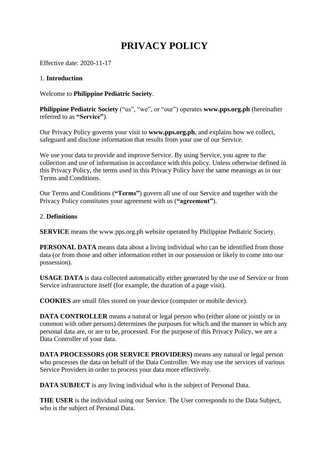# **PRIVACY POLICY**

Effective date: 2020-11-17

## 1. **Introduction**

Welcome to **Philippine Pediatric Society**.

**Philippine Pediatric Society** ("us", "we", or "our") operates **www.pps.org.ph** (hereinafter referred to as **"Service"**).

Our Privacy Policy governs your visit to **www.pps.org.ph**, and explains how we collect, safeguard and disclose information that results from your use of our Service.

We use your data to provide and improve Service. By using Service, you agree to the collection and use of information in accordance with this policy. Unless otherwise defined in this Privacy Policy, the terms used in this Privacy Policy have the same meanings as in our Terms and Conditions.

Our Terms and Conditions (**"Terms"**) govern all use of our Service and together with the Privacy Policy constitutes your agreement with us (**"agreement"**).

#### 2. **Definitions**

**SERVICE** means the www.pps.org.ph website operated by Philippine Pediatric Society.

**PERSONAL DATA** means data about a living individual who can be identified from those data (or from those and other information either in our possession or likely to come into our possession).

**USAGE DATA** is data collected automatically either generated by the use of Service or from Service infrastructure itself (for example, the duration of a page visit).

**COOKIES** are small files stored on your device (computer or mobile device).

**DATA CONTROLLER** means a natural or legal person who (either alone or jointly or in common with other persons) determines the purposes for which and the manner in which any personal data are, or are to be, processed. For the purpose of this Privacy Policy, we are a Data Controller of your data.

**DATA PROCESSORS (OR SERVICE PROVIDERS)** means any natural or legal person who processes the data on behalf of the Data Controller. We may use the services of various Service Providers in order to process your data more effectively.

**DATA SUBJECT** is any living individual who is the subject of Personal Data.

**THE USER** is the individual using our Service. The User corresponds to the Data Subject, who is the subject of Personal Data.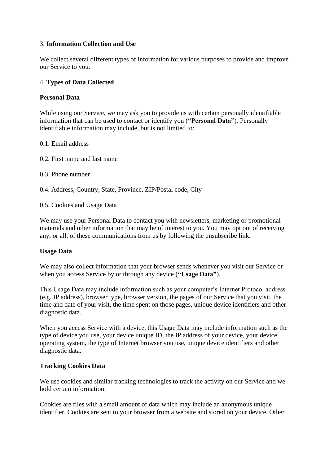## 3. **Information Collection and Use**

We collect several different types of information for various purposes to provide and improve our Service to you.

#### 4. **Types of Data Collected**

#### **Personal Data**

While using our Service, we may ask you to provide us with certain personally identifiable information that can be used to contact or identify you (**"Personal Data"**). Personally identifiable information may include, but is not limited to:

- 0.1. Email address
- 0.2. First name and last name
- 0.3. Phone number
- 0.4. Address, Country, State, Province, ZIP/Postal code, City
- 0.5. Cookies and Usage Data

We may use your Personal Data to contact you with newsletters, marketing or promotional materials and other information that may be of interest to you. You may opt out of receiving any, or all, of these communications from us by following the unsubscribe link.

#### **Usage Data**

We may also collect information that your browser sends whenever you visit our Service or when you access Service by or through any device (**"Usage Data"**).

This Usage Data may include information such as your computer's Internet Protocol address (e.g. IP address), browser type, browser version, the pages of our Service that you visit, the time and date of your visit, the time spent on those pages, unique device identifiers and other diagnostic data.

When you access Service with a device, this Usage Data may include information such as the type of device you use, your device unique ID, the IP address of your device, your device operating system, the type of Internet browser you use, unique device identifiers and other diagnostic data.

#### **Tracking Cookies Data**

We use cookies and similar tracking technologies to track the activity on our Service and we hold certain information.

Cookies are files with a small amount of data which may include an anonymous unique identifier. Cookies are sent to your browser from a website and stored on your device. Other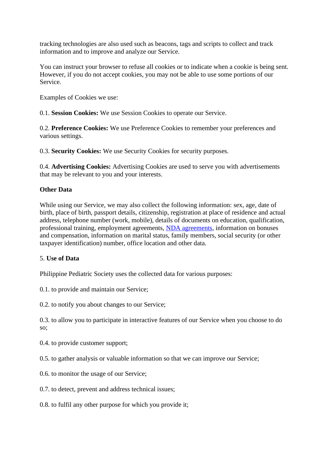tracking technologies are also used such as beacons, tags and scripts to collect and track information and to improve and analyze our Service.

You can instruct your browser to refuse all cookies or to indicate when a cookie is being sent. However, if you do not accept cookies, you may not be able to use some portions of our Service.

Examples of Cookies we use:

0.1. **Session Cookies:** We use Session Cookies to operate our Service.

0.2. **Preference Cookies:** We use Preference Cookies to remember your preferences and various settings.

0.3. **Security Cookies:** We use Security Cookies for security purposes.

0.4. **Advertising Cookies:** Advertising Cookies are used to serve you with advertisements that may be relevant to you and your interests.

# **Other Data**

While using our Service, we may also collect the following information: sex, age, date of birth, place of birth, passport details, citizenship, registration at place of residence and actual address, telephone number (work, mobile), details of documents on education, qualification, professional training, employment agreements, [NDA agreements,](https://policymaker.io/non-disclosure-agreement/) information on bonuses and compensation, information on marital status, family members, social security (or other taxpayer identification) number, office location and other data.

## 5. **Use of Data**

Philippine Pediatric Society uses the collected data for various purposes:

0.1. to provide and maintain our Service;

0.2. to notify you about changes to our Service;

0.3. to allow you to participate in interactive features of our Service when you choose to do so;

0.4. to provide customer support;

0.5. to gather analysis or valuable information so that we can improve our Service;

- 0.6. to monitor the usage of our Service;
- 0.7. to detect, prevent and address technical issues;
- 0.8. to fulfil any other purpose for which you provide it;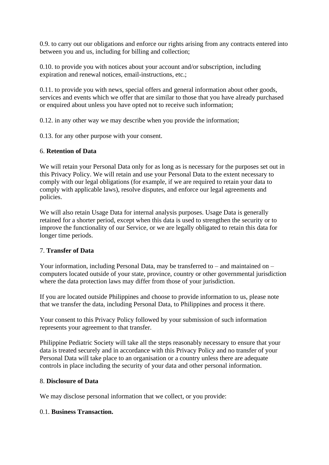0.9. to carry out our obligations and enforce our rights arising from any contracts entered into between you and us, including for billing and collection;

0.10. to provide you with notices about your account and/or subscription, including expiration and renewal notices, email-instructions, etc.;

0.11. to provide you with news, special offers and general information about other goods, services and events which we offer that are similar to those that you have already purchased or enquired about unless you have opted not to receive such information;

0.12. in any other way we may describe when you provide the information;

0.13. for any other purpose with your consent.

## 6. **Retention of Data**

We will retain your Personal Data only for as long as is necessary for the purposes set out in this Privacy Policy. We will retain and use your Personal Data to the extent necessary to comply with our legal obligations (for example, if we are required to retain your data to comply with applicable laws), resolve disputes, and enforce our legal agreements and policies.

We will also retain Usage Data for internal analysis purposes. Usage Data is generally retained for a shorter period, except when this data is used to strengthen the security or to improve the functionality of our Service, or we are legally obligated to retain this data for longer time periods.

# 7. **Transfer of Data**

Your information, including Personal Data, may be transferred to – and maintained on – computers located outside of your state, province, country or other governmental jurisdiction where the data protection laws may differ from those of your jurisdiction.

If you are located outside Philippines and choose to provide information to us, please note that we transfer the data, including Personal Data, to Philippines and process it there.

Your consent to this Privacy Policy followed by your submission of such information represents your agreement to that transfer.

Philippine Pediatric Society will take all the steps reasonably necessary to ensure that your data is treated securely and in accordance with this Privacy Policy and no transfer of your Personal Data will take place to an organisation or a country unless there are adequate controls in place including the security of your data and other personal information.

## 8. **Disclosure of Data**

We may disclose personal information that we collect, or you provide:

## 0.1. **Business Transaction.**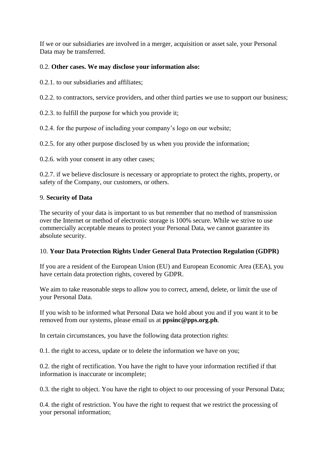If we or our subsidiaries are involved in a merger, acquisition or asset sale, your Personal Data may be transferred.

# 0.2. **Other cases. We may disclose your information also:**

0.2.1. to our subsidiaries and affiliates;

0.2.2. to contractors, service providers, and other third parties we use to support our business;

0.2.3. to fulfill the purpose for which you provide it;

0.2.4. for the purpose of including your company's logo on our website;

0.2.5. for any other purpose disclosed by us when you provide the information;

0.2.6. with your consent in any other cases;

0.2.7. if we believe disclosure is necessary or appropriate to protect the rights, property, or safety of the Company, our customers, or others.

## 9. **Security of Data**

The security of your data is important to us but remember that no method of transmission over the Internet or method of electronic storage is 100% secure. While we strive to use commercially acceptable means to protect your Personal Data, we cannot guarantee its absolute security.

## 10. **Your Data Protection Rights Under General Data Protection Regulation (GDPR)**

If you are a resident of the European Union (EU) and European Economic Area (EEA), you have certain data protection rights, covered by GDPR.

We aim to take reasonable steps to allow you to correct, amend, delete, or limit the use of your Personal Data.

If you wish to be informed what Personal Data we hold about you and if you want it to be removed from our systems, please email us at **ppsinc@pps.org.ph**.

In certain circumstances, you have the following data protection rights:

0.1. the right to access, update or to delete the information we have on you;

0.2. the right of rectification. You have the right to have your information rectified if that information is inaccurate or incomplete;

0.3. the right to object. You have the right to object to our processing of your Personal Data;

0.4. the right of restriction. You have the right to request that we restrict the processing of your personal information;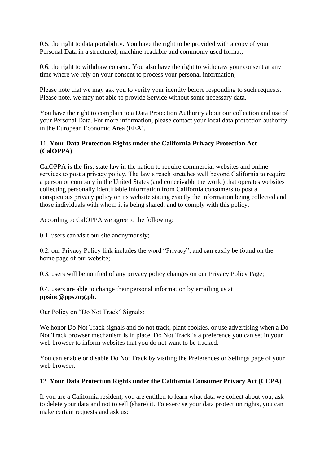0.5. the right to data portability. You have the right to be provided with a copy of your Personal Data in a structured, machine-readable and commonly used format;

0.6. the right to withdraw consent. You also have the right to withdraw your consent at any time where we rely on your consent to process your personal information;

Please note that we may ask you to verify your identity before responding to such requests. Please note, we may not able to provide Service without some necessary data.

You have the right to complain to a Data Protection Authority about our collection and use of your Personal Data. For more information, please contact your local data protection authority in the European Economic Area (EEA).

## 11. **Your Data Protection Rights under the California Privacy Protection Act (CalOPPA)**

CalOPPA is the first state law in the nation to require commercial websites and online services to post a privacy policy. The law's reach stretches well beyond California to require a person or company in the United States (and conceivable the world) that operates websites collecting personally identifiable information from California consumers to post a conspicuous privacy policy on its website stating exactly the information being collected and those individuals with whom it is being shared, and to comply with this policy.

According to CalOPPA we agree to the following:

0.1. users can visit our site anonymously;

0.2. our Privacy Policy link includes the word "Privacy", and can easily be found on the home page of our website;

0.3. users will be notified of any privacy policy changes on our Privacy Policy Page;

0.4. users are able to change their personal information by emailing us at **ppsinc@pps.org.ph**.

Our Policy on "Do Not Track" Signals:

We honor Do Not Track signals and do not track, plant cookies, or use advertising when a Do Not Track browser mechanism is in place. Do Not Track is a preference you can set in your web browser to inform websites that you do not want to be tracked.

You can enable or disable Do Not Track by visiting the Preferences or Settings page of your web browser.

## 12. **Your Data Protection Rights under the California Consumer Privacy Act (CCPA)**

If you are a California resident, you are entitled to learn what data we collect about you, ask to delete your data and not to sell (share) it. To exercise your data protection rights, you can make certain requests and ask us: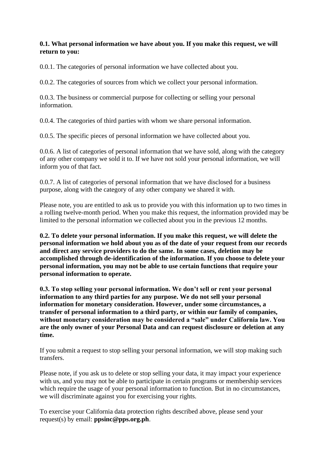#### **0.1. What personal information we have about you. If you make this request, we will return to you:**

0.0.1. The categories of personal information we have collected about you.

0.0.2. The categories of sources from which we collect your personal information.

0.0.3. The business or commercial purpose for collecting or selling your personal information.

0.0.4. The categories of third parties with whom we share personal information.

0.0.5. The specific pieces of personal information we have collected about you.

0.0.6. A list of categories of personal information that we have sold, along with the category of any other company we sold it to. If we have not sold your personal information, we will inform you of that fact.

0.0.7. A list of categories of personal information that we have disclosed for a business purpose, along with the category of any other company we shared it with.

Please note, you are entitled to ask us to provide you with this information up to two times in a rolling twelve-month period. When you make this request, the information provided may be limited to the personal information we collected about you in the previous 12 months.

**0.2. To delete your personal information. If you make this request, we will delete the personal information we hold about you as of the date of your request from our records and direct any service providers to do the same. In some cases, deletion may be accomplished through de-identification of the information. If you choose to delete your personal information, you may not be able to use certain functions that require your personal information to operate.**

**0.3. To stop selling your personal information. We don't sell or rent your personal information to any third parties for any purpose. We do not sell your personal information for monetary consideration. However, under some circumstances, a transfer of personal information to a third party, or within our family of companies, without monetary consideration may be considered a "sale" under California law. You are the only owner of your Personal Data and can request disclosure or deletion at any time.**

If you submit a request to stop selling your personal information, we will stop making such transfers.

Please note, if you ask us to delete or stop selling your data, it may impact your experience with us, and you may not be able to participate in certain programs or membership services which require the usage of your personal information to function. But in no circumstances, we will discriminate against you for exercising your rights.

To exercise your California data protection rights described above, please send your request(s) by email: **ppsinc@pps.org.ph**.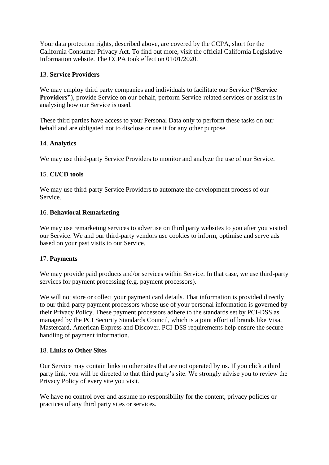Your data protection rights, described above, are covered by the CCPA, short for the California Consumer Privacy Act. To find out more, visit the official California Legislative Information website. The CCPA took effect on 01/01/2020.

#### 13. **Service Providers**

We may employ third party companies and individuals to facilitate our Service (**"Service Providers"**), provide Service on our behalf, perform Service-related services or assist us in analysing how our Service is used.

These third parties have access to your Personal Data only to perform these tasks on our behalf and are obligated not to disclose or use it for any other purpose.

#### 14. **Analytics**

We may use third-party Service Providers to monitor and analyze the use of our Service.

#### 15. **CI/CD tools**

We may use third-party Service Providers to automate the development process of our Service.

#### 16. **Behavioral Remarketing**

We may use remarketing services to advertise on third party websites to you after you visited our Service. We and our third-party vendors use cookies to inform, optimise and serve ads based on your past visits to our Service.

## 17. **Payments**

We may provide paid products and/or services within Service. In that case, we use third-party services for payment processing (e.g. payment processors).

We will not store or collect your payment card details. That information is provided directly to our third-party payment processors whose use of your personal information is governed by their Privacy Policy. These payment processors adhere to the standards set by PCI-DSS as managed by the PCI Security Standards Council, which is a joint effort of brands like Visa, Mastercard, American Express and Discover. PCI-DSS requirements help ensure the secure handling of payment information.

#### 18. **Links to Other Sites**

Our Service may contain links to other sites that are not operated by us. If you click a third party link, you will be directed to that third party's site. We strongly advise you to review the Privacy Policy of every site you visit.

We have no control over and assume no responsibility for the content, privacy policies or practices of any third party sites or services.